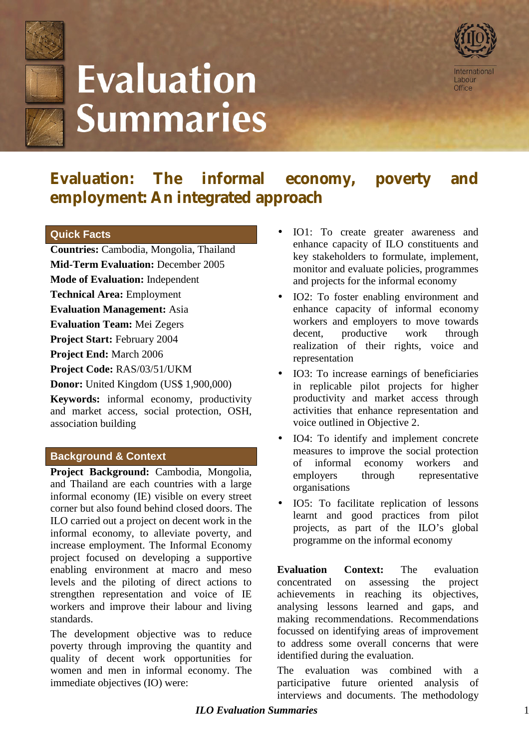

# **Evaluation Summaries**



**Evaluation: The informal economy, poverty and employment: An integrated approach**

### **Quick Facts**

**Countries:** Cambodia, Mongolia, Thailand **Mid-Term Evaluation:** December 2005

**Mode of Evaluation:** Independent

**Technical Area:** Employment

**Evaluation Management:** Asia

**Evaluation Team:** Mei Zegers

**Project Start:** February 2004

**Project End:** March 2006

**Project Code:** RAS/03/51/UKM

**Donor:** United Kingdom (US\$ 1,900,000)

**Keywords:** informal economy, productivity and market access, social protection, OSH, association building

## **Background & Context**

**Project Background:** Cambodia, Mongolia, and Thailand are each countries with a large informal economy (IE) visible on every street corner but also found behind closed doors. The ILO carried out a project on decent work in the informal economy, to alleviate poverty, and increase employment. The Informal Economy project focused on developing a supportive enabling environment at macro and meso levels and the piloting of direct actions to strengthen representation and voice of IE workers and improve their labour and living standards.

The development objective was to reduce poverty through improving the quantity and quality of decent work opportunities for women and men in informal economy. The immediate objectives (IO) were:

- IO1: To create greater awareness and enhance capacity of ILO constituents and key stakeholders to formulate, implement, monitor and evaluate policies, programmes and projects for the informal economy
- IO2: To foster enabling environment and enhance capacity of informal economy workers and employers to move towards decent, productive work through realization of their rights, voice and representation
- IO3: To increase earnings of beneficiaries in replicable pilot projects for higher productivity and market access through activities that enhance representation and voice outlined in Objective 2.
- IO4: To identify and implement concrete measures to improve the social protection of informal economy workers and employers through representative organisations
- IO5: To facilitate replication of lessons learnt and good practices from pilot projects, as part of the ILO's global programme on the informal economy

**Evaluation Context:** The evaluation concentrated on assessing the project achievements in reaching its objectives, analysing lessons learned and gaps, and making recommendations. Recommendations focussed on identifying areas of improvement to address some overall concerns that were identified during the evaluation.

The evaluation was combined with a participative future oriented analysis of interviews and documents. The methodology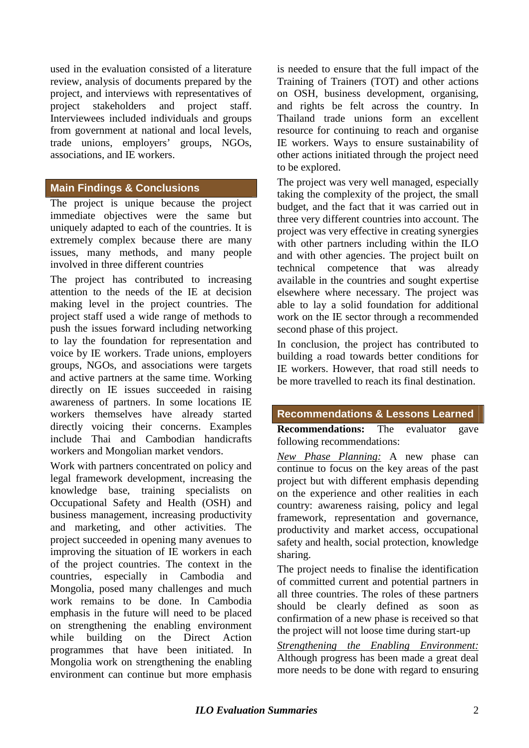used in the evaluation consisted of a literature review, analysis of documents prepared by the project, and interviews with representatives of project stakeholders and project staff. Interviewees included individuals and groups from government at national and local levels, trade unions, employers' groups, NGOs, associations, and IE workers.

## **Main Findings & Conclusions**

The project is unique because the project immediate objectives were the same but uniquely adapted to each of the countries. It is extremely complex because there are many issues, many methods, and many people involved in three different countries

The project has contributed to increasing attention to the needs of the IE at decision making level in the project countries. The project staff used a wide range of methods to push the issues forward including networking to lay the foundation for representation and voice by IE workers. Trade unions, employers groups, NGOs, and associations were targets and active partners at the same time. Working directly on IE issues succeeded in raising awareness of partners. In some locations IE workers themselves have already started directly voicing their concerns. Examples include Thai and Cambodian handicrafts workers and Mongolian market vendors.

Work with partners concentrated on policy and legal framework development, increasing the knowledge base, training specialists on Occupational Safety and Health (OSH) and business management, increasing productivity and marketing, and other activities. The project succeeded in opening many avenues to improving the situation of IE workers in each of the project countries. The context in the countries, especially in Cambodia and Mongolia, posed many challenges and much work remains to be done. In Cambodia emphasis in the future will need to be placed on strengthening the enabling environment while building on the Direct Action programmes that have been initiated. In Mongolia work on strengthening the enabling environment can continue but more emphasis

is needed to ensure that the full impact of the Training of Trainers (TOT) and other actions on OSH, business development, organising, and rights be felt across the country. In Thailand trade unions form an excellent resource for continuing to reach and organise IE workers. Ways to ensure sustainability of other actions initiated through the project need to be explored.

The project was very well managed, especially taking the complexity of the project, the small budget, and the fact that it was carried out in three very different countries into account. The project was very effective in creating synergies with other partners including within the ILO and with other agencies. The project built on technical competence that was already available in the countries and sought expertise elsewhere where necessary. The project was able to lay a solid foundation for additional work on the IE sector through a recommended second phase of this project.

In conclusion, the project has contributed to building a road towards better conditions for IE workers. However, that road still needs to be more travelled to reach its final destination.

### **Recommendations & Lessons Learned**

**Recommendations:** The evaluator gave following recommendations:

*New Phase Planning:* A new phase can continue to focus on the key areas of the past project but with different emphasis depending on the experience and other realities in each country: awareness raising, policy and legal framework, representation and governance, productivity and market access, occupational safety and health, social protection, knowledge sharing.

The project needs to finalise the identification of committed current and potential partners in all three countries. The roles of these partners should be clearly defined as soon as confirmation of a new phase is received so that the project will not loose time during start-up

*Strengthening the Enabling Environment:* Although progress has been made a great deal more needs to be done with regard to ensuring